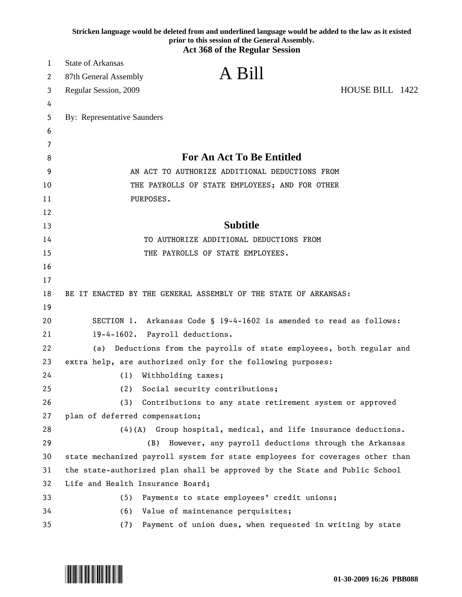|    | Stricken language would be deleted from and underlined language would be added to the law as it existed<br>prior to this session of the General Assembly.<br><b>Act 368 of the Regular Session</b> |
|----|----------------------------------------------------------------------------------------------------------------------------------------------------------------------------------------------------|
| 1  | <b>State of Arkansas</b>                                                                                                                                                                           |
| 2  | A Bill<br>87th General Assembly                                                                                                                                                                    |
| 3  | HOUSE BILL 1422<br>Regular Session, 2009                                                                                                                                                           |
| 4  |                                                                                                                                                                                                    |
| 5  | By: Representative Saunders                                                                                                                                                                        |
| 6  |                                                                                                                                                                                                    |
| 7  |                                                                                                                                                                                                    |
| 8  | <b>For An Act To Be Entitled</b>                                                                                                                                                                   |
| 9  | AN ACT TO AUTHORIZE ADDITIONAL DEDUCTIONS FROM                                                                                                                                                     |
| 10 | THE PAYROLLS OF STATE EMPLOYEES; AND FOR OTHER                                                                                                                                                     |
| 11 | PURPOSES.                                                                                                                                                                                          |
| 12 |                                                                                                                                                                                                    |
| 13 | <b>Subtitle</b>                                                                                                                                                                                    |
| 14 | TO AUTHORIZE ADDITIONAL DEDUCTIONS FROM                                                                                                                                                            |
| 15 | THE PAYROLLS OF STATE EMPLOYEES.                                                                                                                                                                   |
| 16 |                                                                                                                                                                                                    |
| 17 |                                                                                                                                                                                                    |
| 18 | BE IT ENACTED BY THE GENERAL ASSEMBLY OF THE STATE OF ARKANSAS:                                                                                                                                    |
| 19 |                                                                                                                                                                                                    |
| 20 | SECTION 1. Arkansas Code § 19-4-1602 is amended to read as follows:                                                                                                                                |
| 21 | 19-4-1602. Payroll deductions.                                                                                                                                                                     |
| 22 | (a) Deductions from the payrolls of state employees, both regular and                                                                                                                              |
| 23 | extra help, are authorized only for the following purposes:                                                                                                                                        |
| 24 | (1)<br>Withholding taxes;                                                                                                                                                                          |
| 25 | Social security contributions;<br>(2)                                                                                                                                                              |
| 26 | (3)<br>Contributions to any state retirement system or approved                                                                                                                                    |
| 27 | plan of deferred compensation;                                                                                                                                                                     |
| 28 | $(4)(A)$ Group hospital, medical, and life insurance deductions.                                                                                                                                   |
| 29 | (B)<br>However, any payroll deductions through the Arkansas                                                                                                                                        |
| 30 | state mechanized payroll system for state employees for coverages other than                                                                                                                       |
| 31 | the state-authorized plan shall be approved by the State and Public School                                                                                                                         |
| 32 | Life and Health Insurance Board;                                                                                                                                                                   |
| 33 | Payments to state employees' credit unions;<br>(5)                                                                                                                                                 |
| 34 | Value of maintenance perquisites;<br>(6)                                                                                                                                                           |
| 35 | (7)<br>Payment of union dues, when requested in writing by state                                                                                                                                   |